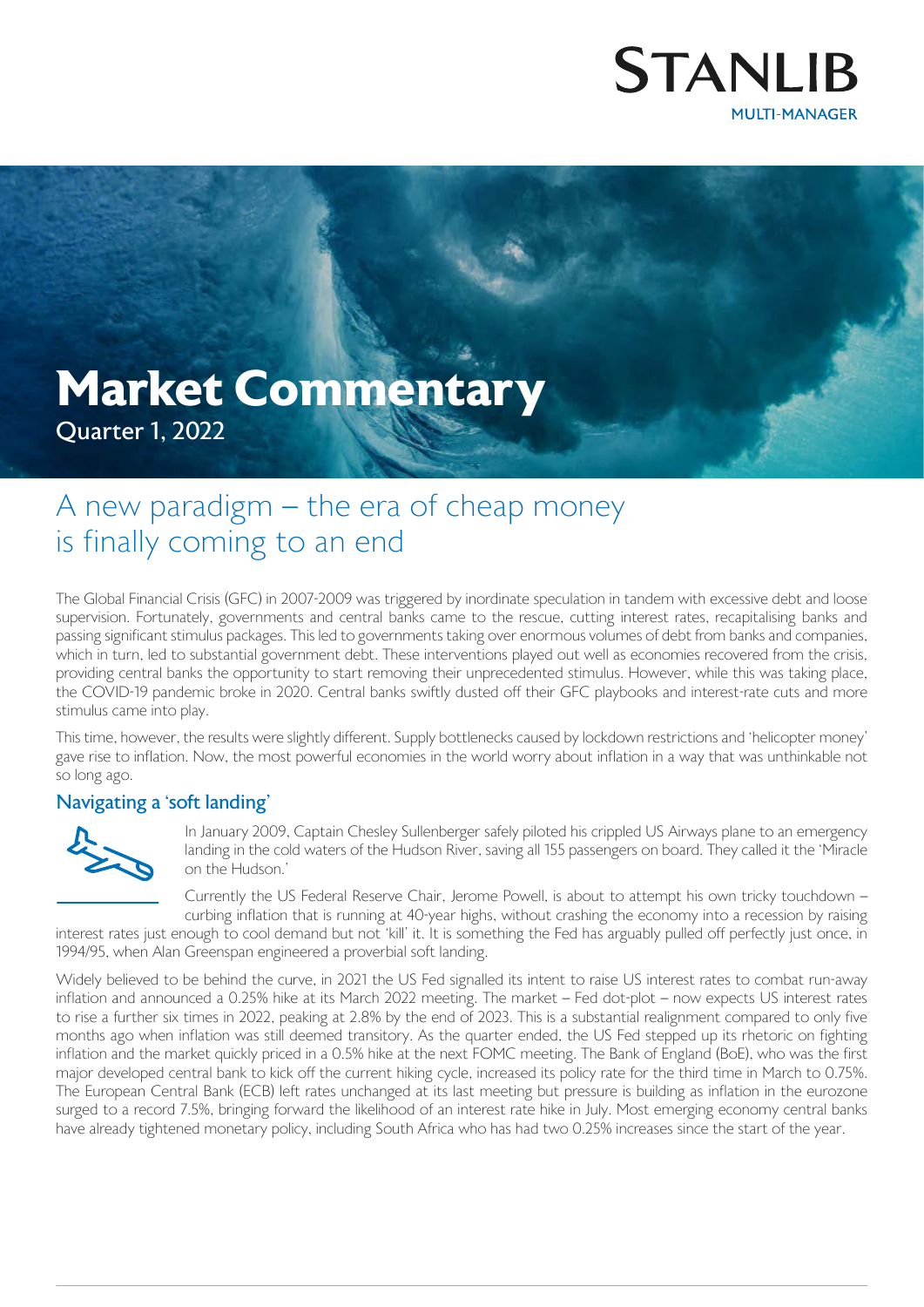

# **Market Commentary** Quarter 1, 2022

# A new paradigm – the era of cheap money is finally coming to an end

The Global Financial Crisis (GFC) in 2007-2009 was triggered by inordinate speculation in tandem with excessive debt and loose supervision. Fortunately, governments and central banks came to the rescue, cutting interest rates, recapitalising banks and passing significant stimulus packages. This led to governments taking over enormous volumes of debt from banks and companies, which in turn, led to substantial government debt. These interventions played out well as economies recovered from the crisis, providing central banks the opportunity to start removing their unprecedented stimulus. However, while this was taking place, the COVID-19 pandemic broke in 2020. Central banks swiftly dusted off their GFC playbooks and interest-rate cuts and more stimulus came into play.

This time, however, the results were slightly different. Supply bottlenecks caused by lockdown restrictions and 'helicopter money' gave rise to inflation. Now, the most powerful economies in the world worry about inflation in a way that was unthinkable not so long ago.

# Navigating a 'soft landing'



In January 2009, Captain Chesley Sullenberger safely piloted his crippled US Airways plane to an emergency landing in the cold waters of the Hudson River, saving all 155 passengers on board. They called it the 'Miracle on the Hudson.'

Currently the US Federal Reserve Chair, Jerome Powell, is about to attempt his own tricky touchdown – curbing inflation that is running at 40-year highs, without crashing the economy into a recession by raising

interest rates just enough to cool demand but not 'kill' it. It is something the Fed has arguably pulled off perfectly just once, in 1994/95, when Alan Greenspan engineered a proverbial soft landing.

Widely believed to be behind the curve, in 2021 the US Fed signalled its intent to raise US interest rates to combat run-away inflation and announced a 0.25% hike at its March 2022 meeting. The market – Fed dot-plot – now expects US interest rates to rise a further six times in 2022, peaking at 2.8% by the end of 2023. This is a substantial realignment compared to only five months ago when inflation was still deemed transitory. As the quarter ended, the US Fed stepped up its rhetoric on fighting inflation and the market quickly priced in a 0.5% hike at the next FOMC meeting. The Bank of England (BoE), who was the first major developed central bank to kick off the current hiking cycle, increased its policy rate for the third time in March to 0.75%. The European Central Bank (ECB) left rates unchanged at its last meeting but pressure is building as inflation in the eurozone surged to a record 7.5%, bringing forward the likelihood of an interest rate hike in July. Most emerging economy central banks have already tightened monetary policy, including South Africa who has had two 0.25% increases since the start of the year.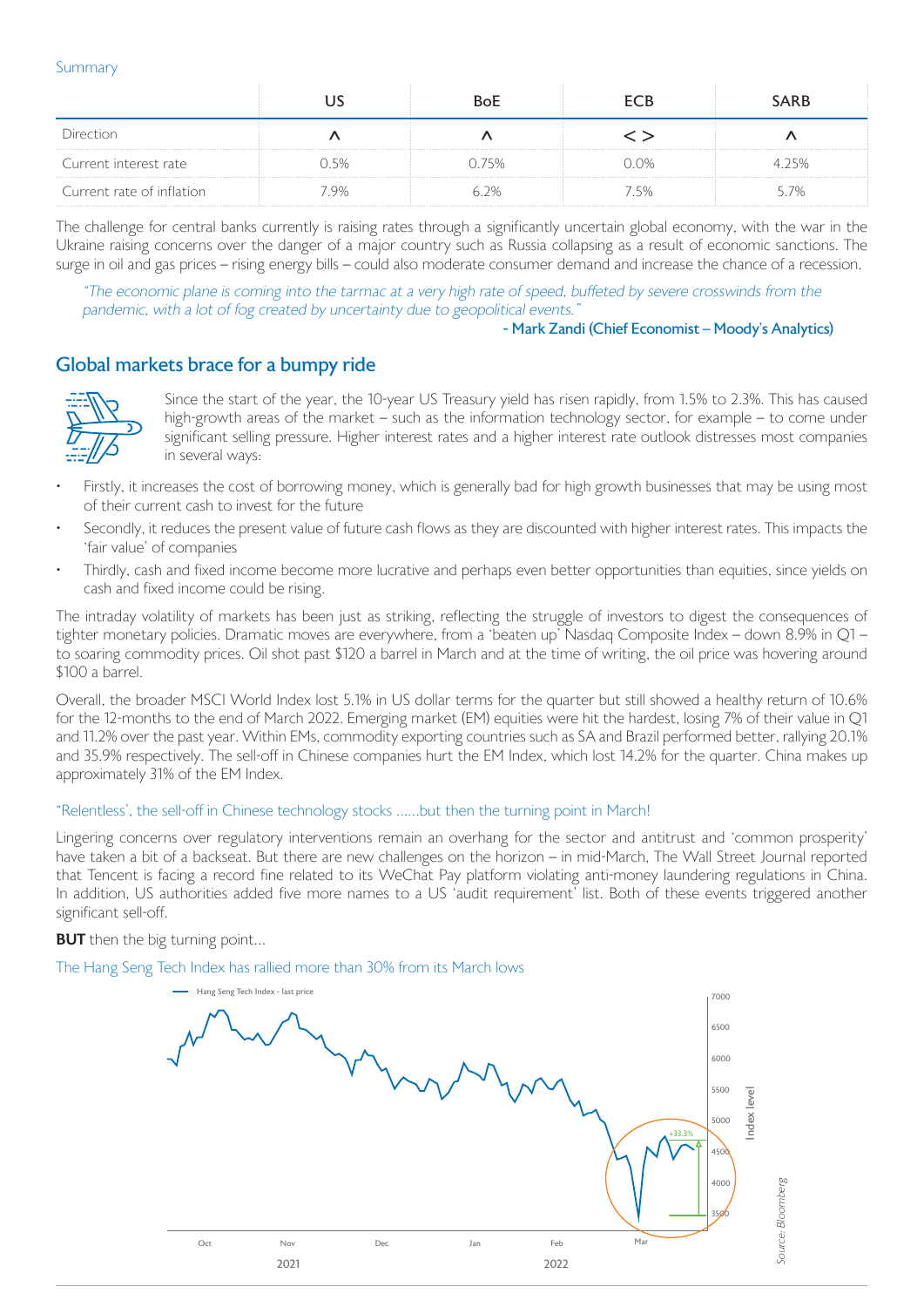#### Summary

|                           |      | BoE   | FCR  | <b>SARB</b> |
|---------------------------|------|-------|------|-------------|
| ≥⊂ti∩n                    |      |       |      |             |
| Current interest rate     | 5%   | ) 75% | 0.0% |             |
| Current rate of inflation | 7.9% | 62%   | ' 5% | 57%         |

The challenge for central banks currently is raising rates through a significantly uncertain global economy, with the war in the Ukraine raising concerns over the danger of a major country such as Russia collapsing as a result of economic sanctions. The surge in oil and gas prices – rising energy bills – could also moderate consumer demand and increase the chance of a recession.

"The economic plane is coming into the tarmac at a very high rate of speed, buffeted by severe crosswinds from the pandemic, with a lot of fog created by uncertainty due to geopolitical events."

#### - Mark Zandi (Chief Economist – Moody's Analytics)

# Global markets brace for a bumpy ride



Since the start of the year, the 10-year US Treasury yield has risen rapidly, from 1.5% to 2.3%. This has caused high-growth areas of the market – such as the information technology sector, for example – to come under significant selling pressure. Higher interest rates and a higher interest rate outlook distresses most companies in several ways:

- Firstly, it increases the cost of borrowing money, which is generally bad for high growth businesses that may be using most of their current cash to invest for the future
- Secondly, it reduces the present value of future cash flows as they are discounted with higher interest rates. This impacts the 'fair value' of companies
- Thirdly, cash and fixed income become more lucrative and perhaps even better opportunities than equities, since yields on cash and fixed income could be rising.

The intraday volatility of markets has been just as striking, reflecting the struggle of investors to digest the consequences of tighter monetary policies. Dramatic moves are everywhere, from a 'beaten up' Nasdaq Composite Index – down 8.9% in Q1 – to soaring commodity prices. Oil shot past \$120 a barrel in March and at the time of writing, the oil price was hovering around \$100 a barrel.

Overall, the broader MSCI World Index lost 5.1% in US dollar terms for the quarter but still showed a healthy return of 10.6% for the 12-months to the end of March 2022. Emerging market (EM) equities were hit the hardest, losing 7% of their value in Q1 and 11.2% over the past year. Within EMs, commodity exporting countries such as SA and Brazil performed better, rallying 20.1% and 35.9% respectively. The sell-off in Chinese companies hurt the EM Index, which lost 14.2% for the quarter. China makes up approximately 31% of the EM Index.

#### "Relentless', the sell-off in Chinese technology stocks ……but then the turning point in March!

Lingering concerns over regulatory interventions remain an overhang for the sector and antitrust and 'common prosperity' have taken a bit of a backseat. But there are new challenges on the horizon – in mid-March, The Wall Street Journal reported that Tencent is facing a record fine related to its WeChat Pay platform violating anti-money laundering regulations in China. In addition, US authorities added five more names to a US 'audit requirement' list. Both of these events triggered another significant sell-off.

#### **BUT** then the big turning point...

#### The Hang Seng Tech Index has rallied more than 30% from its March lows

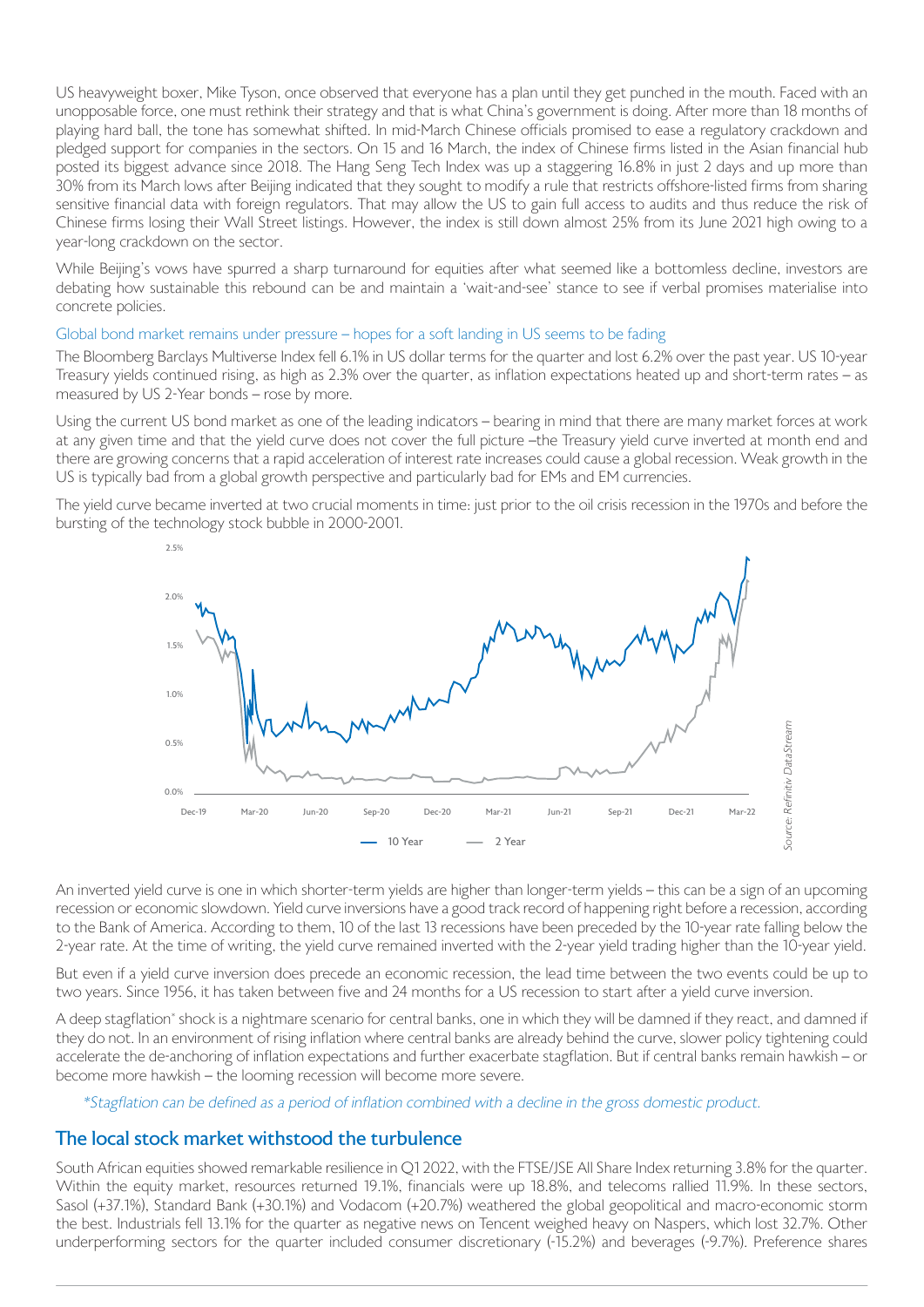US heavyweight boxer, Mike Tyson, once observed that everyone has a plan until they get punched in the mouth. Faced with an unopposable force, one must rethink their strategy and that is what China's government is doing. After more than 18 months of playing hard ball, the tone has somewhat shifted. In mid-March Chinese officials promised to ease a regulatory crackdown and pledged support for companies in the sectors. On 15 and 16 March, the index of Chinese firms listed in the Asian financial hub posted its biggest advance since 2018. The Hang Seng Tech Index was up a staggering 16.8% in just 2 days and up more than 30% from its March lows after Beijing indicated that they sought to modify a rule that restricts offshore-listed firms from sharing sensitive financial data with foreign regulators. That may allow the US to gain full access to audits and thus reduce the risk of Chinese firms losing their Wall Street listings. However, the index is still down almost 25% from its June 2021 high owing to a year-long crackdown on the sector.

While Beijing's vows have spurred a sharp turnaround for equities after what seemed like a bottomless decline, investors are debating how sustainable this rebound can be and maintain a 'wait-and-see' stance to see if verbal promises materialise into concrete policies.

#### Global bond market remains under pressure – hopes for a soft landing in US seems to be fading

The Bloomberg Barclays Multiverse Index fell 6.1% in US dollar terms for the quarter and lost 6.2% over the past year. US 10-year Treasury yields continued rising, as high as 2.3% over the quarter, as inflation expectations heated up and short-term rates – as measured by US 2-Year bonds – rose by more.

Using the current US bond market as one of the leading indicators – bearing in mind that there are many market forces at work at any given time and that the yield curve does not cover the full picture –the Treasury yield curve inverted at month end and there are growing concerns that a rapid acceleration of interest rate increases could cause a global recession. Weak growth in the US is typically bad from a global growth perspective and particularly bad for EMs and EM currencies.

The yield curve became inverted at two crucial moments in time: just prior to the oil crisis recession in the 1970s and before the bursting of the technology stock bubble in 2000-2001.



An inverted yield curve is one in which shorter-term yields are higher than longer-term yields – this can be a sign of an upcoming recession or economic slowdown. Yield curve inversions have a good track record of happening right before a recession, according to the Bank of America. According to them, 10 of the last 13 recessions have been preceded by the 10-year rate falling below the 2-year rate. At the time of writing, the yield curve remained inverted with the 2-year yield trading higher than the 10-year yield.

But even if a yield curve inversion does precede an economic recession, the lead time between the two events could be up to two years. Since 1956, it has taken between five and 24 months for a US recession to start after a yield curve inversion.

A deep stagflation\* shock is a nightmare scenario for central banks, one in which they will be damned if they react, and damned if they do not. In an environment of rising inflation where central banks are already behind the curve, slower policy tightening could accelerate the de-anchoring of inflation expectations and further exacerbate stagflation. But if central banks remain hawkish – or become more hawkish – the looming recession will become more severe.

\*Stagflation can be defined as a period of inflation combined with a decline in the gross domestic product.

# The local stock market withstood the turbulence

South African equities showed remarkable resilience in Q1 2022, with the FTSE/JSE All Share Index returning 3.8% for the quarter. Within the equity market, resources returned 19.1%, financials were up 18.8%, and telecoms rallied 11.9%. In these sectors, Sasol (+37.1%), Standard Bank (+30.1%) and Vodacom (+20.7%) weathered the global geopolitical and macro-economic storm the best. Industrials fell 13.1% for the quarter as negative news on Tencent weighed heavy on Naspers, which lost 32.7%. Other underperforming sectors for the quarter included consumer discretionary (-15.2%) and beverages (-9.7%). Preference shares